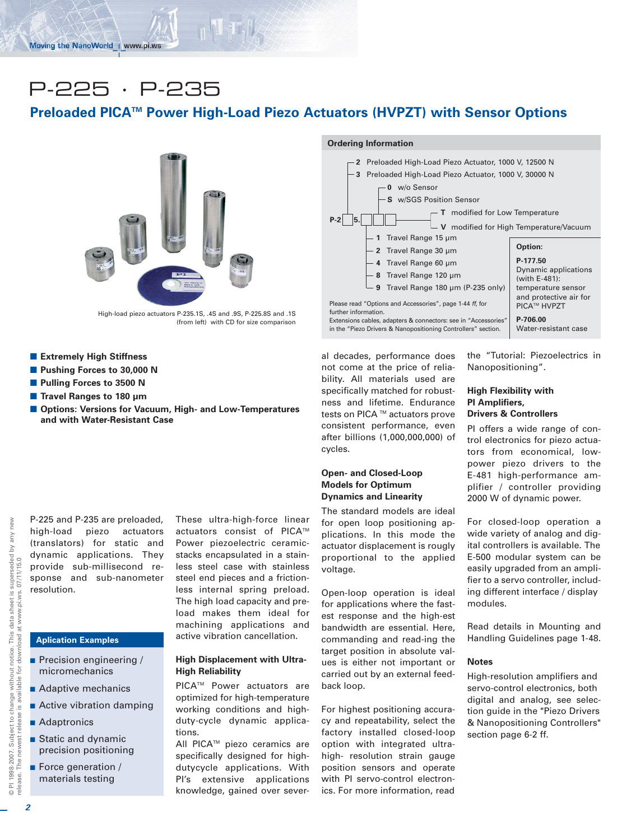# P-225 · P-235

# **Preloaded PICATM Power High-Load Piezo Actuators (HVPZT) with Sensor Options**



High-load piezo actuators P-235.1S, .4S and .9S, P-225.8S and .1S (from left) with CD for size comparison

- **Extremely High Stiffness**
- **Pushing Forces to 30,000 N**
- **Pulling Forces to 3500 N**
- Travel Ranges to 180 µm
- $\blacksquare$  Options: Versions for Vacuum, High- and Low-Temperatures **and with Water-Resistant Case**

P-225 and P-235 are preloaded, high-load piezo actuators (translators) for static and dynamic applications. They provide sub-millisecond response and sub-nanometer resolution.

### **Aplication Examples**

- **Precision engineering /** micromechanics
- Adaptive mechanics
- **Active vibration damping**
- Adaptronics
- **Static and dynamic** precision positioning
- **Exercise Enteration** / materials testing

These ultra-high-force linear actuators consist of PICA™ Power piezoelectric ceramicstacks encapsulated in a stainless steel case with stainless steel end pieces and a frictionless internal spring preload. The high load capacity and preload makes them ideal for machining applications and active vibration cancellation.

#### **High Displacement with Ultra-High Reliability**

PICA<sup>™</sup> Power actuators are optimized for high-temperature working conditions and highduty-cycle dynamic applications.

All PICA<sup>™</sup> piezo ceramics are specifically designed for highdutycycle applications. With PI's extensive applications knowledge, gained over sever-

## **Ordering Information**



al decades, performance does not come at the price of reliability. All materials used are specifically matched for robustness and lifetime. Endurance tests on PICA ™ actuators prove consistent performance, even after billions (1,000,000,000) of cycles.

#### **Open- and Closed-Loop Models for Optimum Dynamics and Linearity**

The standard models are ideal for open loop positioning applications. In this mode the actuator displacement is rougly proportional to the applied voltage.

Open-loop operation is ideal for applications where the fastest response and the high-est bandwidth are essential. Here, commanding and read-ing the target position in absolute values is either not important or carried out by an external feedback loop.

For highest positioning accuracy and repeatability, select the factory installed closed-loop option with integrated ultrahigh- resolution strain gauge position sensors and operate with PI servo-control electronics. For more information, read the "Tutorial: Piezoelectrics in Nanopositioning".

#### **High Flexibility with PI Amplifiers, Drivers & Controllers**

PI offers a wide range of control electronics for piezo actuators from economical, lowpower piezo drivers to the E-481 high-performance amplifier / controller providing 2000 W of dynamic power.

For closed-loop operation a wide variety of analog and digital controllers is available. The E-500 modular system can be easily upgraded from an amplifier to a servo controller, including different interface / display modules.

Read details in Mounting and Handling Guidelines page 1-48.

#### **Notes**

High-resolution amplifiers and servo-control electronics, both digital and analog, see selection guide in the "Piezo Drivers & Nanopositioning Controllers" section page 6-2 ff.